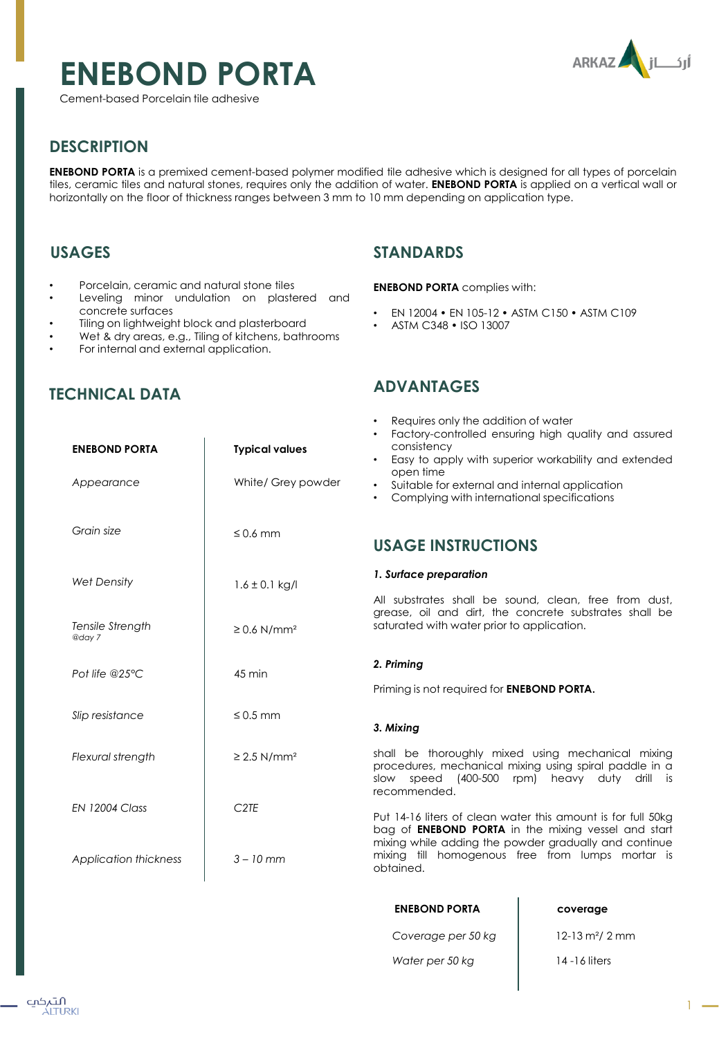# **ENEBOND PORTA**

Cement-based Porcelain tile adhesive



## **DESCRIPTION**

**ENEBOND PORTA** is a premixed cement-based polymer modified tile adhesive which is designed for all types of porcelain tiles, ceramic tiles and natural stones, requires only the addition of water. **ENEBOND PORTA** is applied on a vertical wall or horizontally on the floor of thickness ranges between 3 mm to 10 mm depending on application type.

## **USAGES**

- Porcelain, ceramic and natural stone tiles
- Leveling minor undulation on plastered and concrete surfaces
- Tiling on lightweight block and plasterboard
- Wet & dry areas, e.g., Tiling of kitchens, bathrooms

**ENEBOND PORTA Typical values**

White/ Grey powder

≤ 0.6 mm

 $1.6 \pm 0.1$  kg/l

 $\geq 0.6$  N/mm<sup>2</sup>

45 min

≤ 0.5 mm

≥ 2.5 N/mm²

*C2TE*

*3 – 10 mm*

• For internal and external application.

## **TECHNICAL DATA**

*Appearance*

*Grain size*

*Wet Density*

*Tensile Strength*

*Pot life @25°C*

*Slip resistance*

*Flexural strength*

*EN 12004 Class*

*Application thickness*

*@day 7*

## **STANDARDS**

#### **ENEBOND PORTA** complies with:

- EN 12004 EN 105-12 ASTM C150 ASTM C109
- ASTM C348 ISO 13007

## **ADVANTAGES**

- Requires only the addition of water
- Factory-controlled ensuring high quality and assured consistency
- Easy to apply with superior workability and extended open time
- Suitable for external and internal application
- Complying with international specifications

## **USAGE INSTRUCTIONS**

#### *1. Surface preparation*

All substrates shall be sound, clean, free from dust, grease, oil and dirt, the concrete substrates shall be saturated with water prior to application.

### *2. Priming*

Priming is not required for **ENEBOND PORTA.**

#### *3. Mixing*

shall be thoroughly mixed using mechanical mixing procedures, mechanical mixing using spiral paddle in a slow speed (400-500 rpm) heavy duty drill is recommended.

Put 14-16 liters of clean water this amount is for full 50kg bag of **ENEBOND PORTA** in the mixing vessel and start mixing while adding the powder gradually and continue mixing till homogenous free from lumps mortar is obtained.

| <b>ENEBOND PORTA</b> | coverage                        |
|----------------------|---------------------------------|
| Coverage per 50 kg   | $12 - 13$ m <sup>2</sup> / 2 mm |
| Water per 50 kg      | 14 - 16 liters                  |

 $\mathbf{I}$